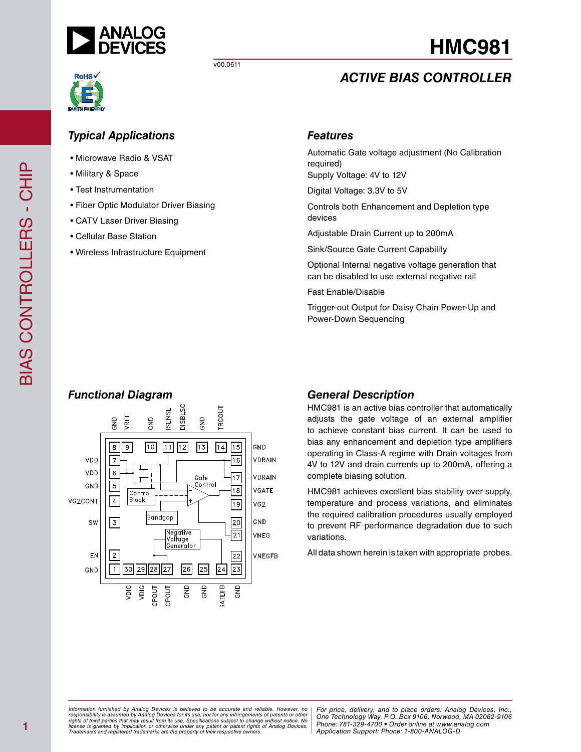

# *Typical Applications*

- Microwave Radio & VSAT
- Military & Space
- Test Instrumentation
- Fiber Optic Modulator Driver Biasing
- CATV Laser Driver Biasing
- Cellular Base Station
- Wireless Infrastructure Equipment

## *Features*

Automatic Gate voltage adjustment (No Calibration required) Supply Voltage: 4V to 12V

*ACTIVE BIAS CONTROLLER*

**HMC981**

Digital Voltage: 3.3V to 5V

Controls both Enhancement and Depletion type devices

Adjustable Drain Current up to 200mA

Sink/Source Gate Current Capability

Optional Internal negative voltage generation that can be disabled to use external negative rail

Fast Enable/Disable

Trigger-out Output for Daisy Chain Power-Up and Power-Down Sequencing



HMC981 is an active bias controller that automatically adjusts the gate voltage of an external amplifier to achieve constant bias current. It can be used to bias any enhancement and depletion type amplifiers operating in Class-A regime with Drain voltages from 4V to 12V and drain currents up to 200mA, offering a complete biasing solution.

HMC981 achieves excellent bias stability over supply, temperature and process variations, and eliminates the required calibration procedures usually employed to prevent RF performance degradation due to such variations.

All data shown herein is taken with appropriate probes.

# BIAS CONTROLLERS - CHIP BIAS CONTROLLERS - CHIP

## **1**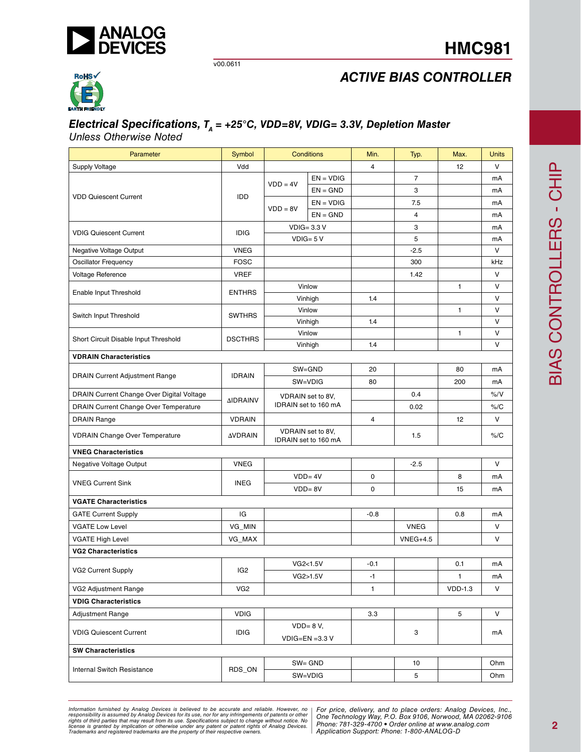

# **HMC981**



# *ACTIVE BIAS CONTROLLER*

# *Electrical Specifications, T<sub>A</sub> = +25°C, VDD=8V, VDIG= 3.3V, Depletion Master*

*Unless Otherwise Noted*

| Parameter                                 | Symbol          | <b>Conditions</b>                         |                   | Min.           | Typ.           | Max.         | Units |
|-------------------------------------------|-----------------|-------------------------------------------|-------------------|----------------|----------------|--------------|-------|
| <b>Supply Voltage</b>                     | Vdd             |                                           |                   | 4              |                | 12           | V     |
|                                           |                 | $VDD = 4V$                                | $EN = VDIG$       |                | $\overline{7}$ |              | mA    |
| <b>VDD Quiescent Current</b>              | IDD             |                                           | $EN = GND$        |                | 3              |              | mA    |
|                                           |                 | $VDD = 8V$                                | $EN = VDIG$       |                | 7.5            |              | mA    |
|                                           |                 |                                           | $EN = GND$        |                | 4              |              | mA    |
| <b>VDIG Quiescent Current</b>             | <b>IDIG</b>     |                                           | $VDIG = 3.3 V$    |                | 3              |              | mA    |
|                                           |                 |                                           | $VDIG = 5 V$      |                | 5              |              | mA    |
| Negative Voltage Output                   | <b>VNEG</b>     |                                           |                   |                | $-2.5$         |              | V     |
| Oscillator Frequency                      | <b>FOSC</b>     |                                           |                   |                | 300            |              | kHz   |
| Voltage Reference                         | <b>VREF</b>     |                                           |                   |                | 1.42           |              | V     |
| Enable Input Threshold                    | <b>ENTHRS</b>   |                                           | Vinlow            |                |                | $\mathbf{1}$ | V     |
|                                           |                 |                                           | Vinhigh           | 1.4            |                |              | V     |
| Switch Input Threshold                    | <b>SWTHRS</b>   |                                           | Vinlow            |                |                | $\mathbf{1}$ | V     |
|                                           |                 |                                           | Vinhigh           | 1.4            |                |              | V     |
| Short Circuit Disable Input Threshold     | <b>DSCTHRS</b>  |                                           | Vinlow            |                |                | $\mathbf{1}$ | V     |
|                                           |                 |                                           | Vinhigh           | 1.4            |                |              | V     |
| <b>VDRAIN Characteristics</b>             |                 |                                           |                   |                |                |              |       |
| <b>DRAIN Current Adjustment Range</b>     | <b>IDRAIN</b>   |                                           | SW=GND            | 20             |                | 80           | mA    |
|                                           |                 | SW=VDIG                                   |                   | 80             |                | 200          | mA    |
| DRAIN Current Change Over Digital Voltage | <b>AIDRAINV</b> |                                           | VDRAIN set to 8V, |                | 0.4            |              | % / V |
| DRAIN Current Change Over Temperature     |                 | IDRAIN set to 160 mA                      |                   |                | 0.02           |              | % /C  |
| <b>DRAIN Range</b>                        | <b>VDRAIN</b>   |                                           |                   | $\overline{4}$ |                | 12           | V     |
| <b>VDRAIN Change Over Temperature</b>     | <b>AVDRAIN</b>  | VDRAIN set to 8V,<br>IDRAIN set to 160 mA |                   |                | 1.5            |              | % /C  |
| <b>VNEG Characteristics</b>               |                 |                                           |                   |                |                |              |       |
| Negative Voltage Output                   | <b>VNEG</b>     |                                           |                   |                | $-2.5$         |              | V     |
|                                           |                 |                                           | $VDD = 4V$        | 0              |                | 8            | mA    |
| <b>VNEG Current Sink</b>                  | <b>INEG</b>     | $VDD = 8V$                                |                   | 0              |                | 15           | mA    |
| <b>VGATE Characteristics</b>              |                 |                                           |                   |                |                |              |       |
| <b>GATE Current Supply</b>                | IG              |                                           |                   | $-0.8$         |                | 0.8          | mA    |
| <b>VGATE Low Level</b>                    | VG_MIN          |                                           |                   |                | <b>VNEG</b>    |              | V     |
| <b>VGATE High Level</b>                   | VG_MAX          |                                           |                   |                | $VNEG+4.5$     |              | V     |
| <b>VG2 Characteristics</b>                |                 |                                           |                   |                |                |              |       |
|                                           |                 |                                           | VG2<1.5V          | $-0.1$         |                | 0.1          | mA    |
| VG2 Current Supply                        | IG <sub>2</sub> |                                           | VG2>1.5V          | $-1$           |                | $\mathbf{1}$ | mA    |
| VG2 Adjustment Range                      | VG <sub>2</sub> |                                           |                   | $\mathbf{1}$   |                | $VDD-1.3$    | V     |
| <b>VDIG Characteristics</b>               |                 |                                           |                   |                |                |              |       |
| Adjustment Range                          | <b>VDIG</b>     |                                           |                   | 3.3            |                | 5            | V     |
|                                           |                 | $VDD = 8 V,$                              |                   |                |                |              |       |
| <b>VDIG Quiescent Current</b>             | <b>IDIG</b>     | $VDIG=EN = 3.3 V$                         |                   |                | 3              |              | mA    |
| <b>SW Characteristics</b>                 |                 |                                           |                   |                |                |              |       |
|                                           |                 |                                           | SW= GND           |                | 10             |              | Ohm   |
| <b>Internal Switch Resistance</b>         | RDS_ON          |                                           | SW=VDIG           |                | 5              |              | Ohm   |

*Formation iurnished by Analog Devices is believed to be accurate and reliable. However, no Hor price, delivery, and to place orders: Analog Devices, In<br>roonsibility is assumed by Analog Devices for its use, nor for any pressult from its use. Specifications subject to change without notice. No*<br>ation or otherwise under any patent or patent rights of Analog Devices Phone: 781-329-4700 • Order online at ww *e* the property of their respective owners. **Application Support: Phone: 1-8** Information furnished by Analog Devices is believed to be accurate and reliable. However, no<br>responsibility is assumed by Analog Devices for its use, nor for any infringements of patents or other<br>rights of third parties th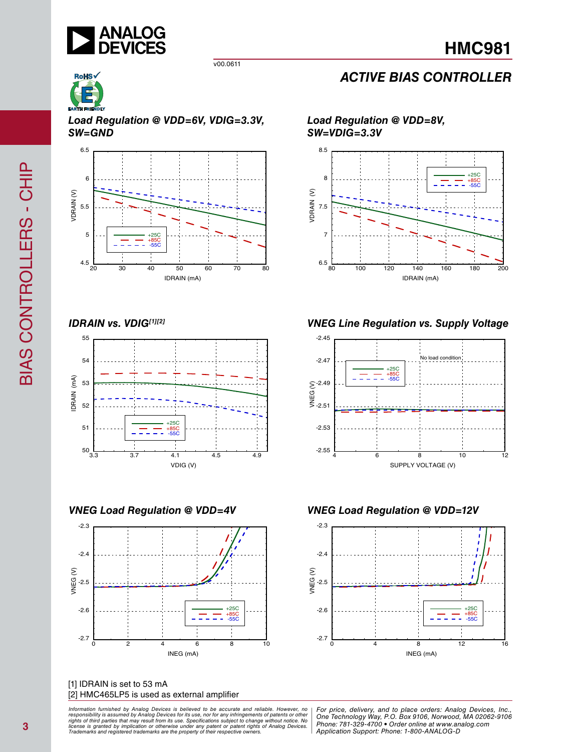

*Load Regulation @ VDD=6V, VDIG=3.3V, SW=GND*



*IDRAIN vs. VDIG[1][2]*



*VNEG Load Regulation @ VDD=4V*



[1] IDRAIN is set to 53 mA [2] HMC465LP5 is used as external amplifier

ormation furnished by Analog Devices is believed to be accurate and reliable. However, no | For price, delivery, and to place orders: Analog Devices, Inc.,<br>hponsibility is assumed by Analog Devices for its use, nor for any *pressult from its use. Specifications subject to change without notice. No*<br>ation or otherwise under any patent or patent rights of Analog Devices Phone: 781-329-4700 • Order online at ww *e* the property of their respective owners. **Application Support: Phone: 1-8** *Information furnished by Analog Devices is believed to be accurate and reliable. However, no*  responsibility is assumed by Analog Devices for its use, nor for any infringements of patents or other<br>rights of third parties that may result from its use. Specifications subject to change without notice. No<br>license is gr

# *ACTIVE BIAS CONTROLLER*

*Load Regulation @ VDD=8V, SW=VDIG=3.3V*



*VNEG Line Regulation vs. Supply Voltage*



*VNEG Load Regulation @ VDD=12V*



*Application Support: Phone: 1-800-ANALOG-D*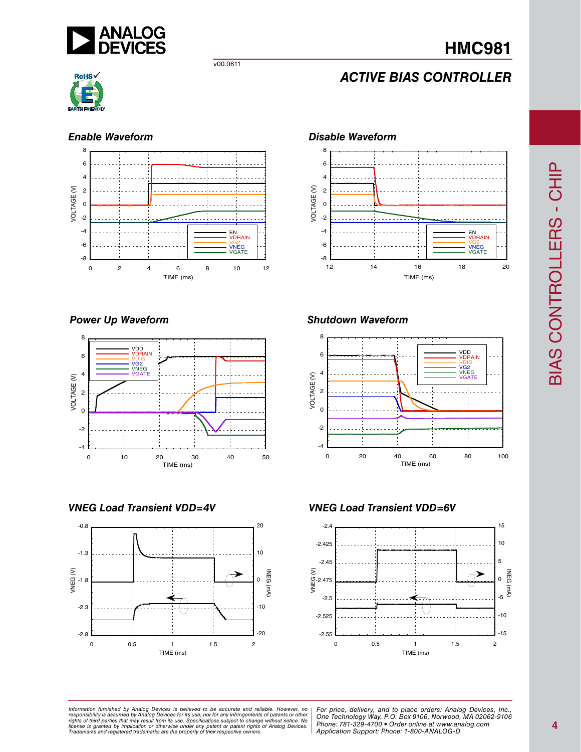

# **HMC981**

v00.0611

# *ACTIVE BIAS CONTROLLER*



## *Enable Waveform*



## *Power Up Waveform*







## *Shutdown Waveform*



*VNEG Load Transient VDD=4V VNEG Load Transient VDD=6V*



BIAS CONTROLLERS - CHIP BIAS CONTROLLERS - CHIP

*Formation iurnished by Analog Devices is believed to be accurate and reliable. However, no Hor price, delivery, and to place orders: Analog Devices, In<br>roonsibility is assumed by Analog Devices for its use, nor for any pressult from its use. Specifications subject to change without notice. No*<br>ation or otherwise under any patent or patent rights of Analog Devices Phone: 781-329-4700 • Order online at ww *e* the property of their respective owners. **Application Support: Phone: 1-8** Information furnished by Analog Devices is believed to be accurate and reliable. However, no<br>responsibility is assumed by Analog Devices for its use, nor for any infringements of patents or other<br>rights of third parties th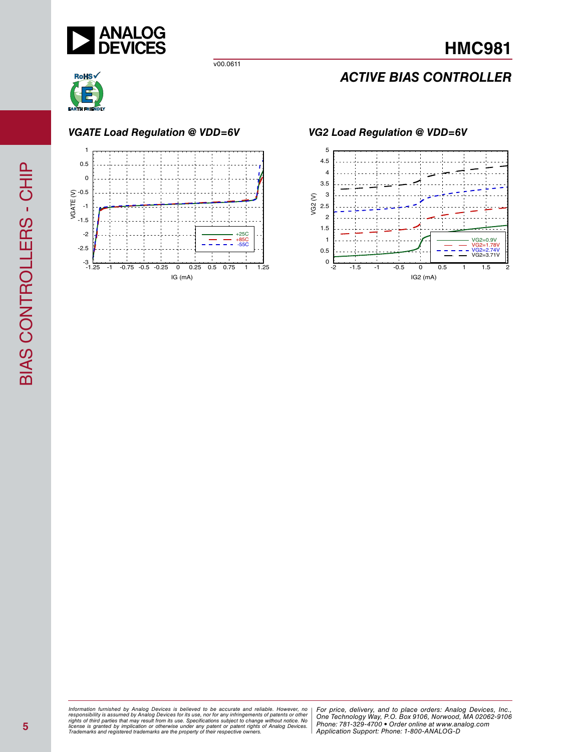

# *ACTIVE BIAS CONTROLLER*



*VGATE Load Regulation @ VDD=6V VG2 Load Regulation @ VDD=6V*





*Formation iurnished by Analog Devices is believed to be accurate and reliable. However, no Hor price, delivery, and to place orders: Analog Devices, In<br>roonsibility is assumed by Analog Devices for its use, nor for any pressult from its use. Specifications subject to change without notice. No*<br>ation or otherwise under any patent or patent rights of Analog Devices Phone: 781-329-4700 • Order online at ww *e* the property of their respective owners. **Application Support: Phone: 1-8** Information furnished by Analog Devices is believed to be accurate and reliable. However, no<br>responsibility is assumed by Analog Devices for its use, nor for any infringements of patents or other<br>rights of third parties th

**5**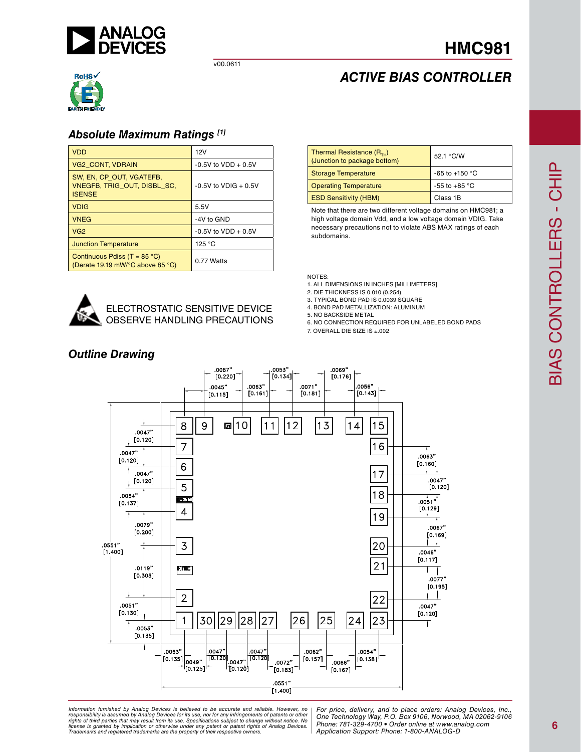

## *Absolute Maximum Ratings [1]*

| <b>VDD</b>                                                                      | 12V                     |
|---------------------------------------------------------------------------------|-------------------------|
| <b>VG2 CONT, VDRAIN</b>                                                         | $-0.5V$ to VDD $+0.5V$  |
| SW, EN, CP OUT, VGATEFB,<br><b>VNEGFB. TRIG OUT. DISBL SC.</b><br><b>ISENSE</b> | $-0.5V$ to VDIG $+0.5V$ |
| <b>VDIG</b>                                                                     | 5.5V                    |
| <b>VNEG</b>                                                                     | -4V to GND              |
| VG <sub>2</sub>                                                                 | $-0.5V$ to $VDD + 0.5V$ |
| <b>Junction Temperature</b>                                                     | 125 °C                  |
| Continuous Pdiss (T = $85^{\circ}$ C)<br>(Derate 19.19 mW/°C above 85 °C)       | 0.77 Watts              |

| Thermal Resistance $(R_{\tau H})$<br>(Junction to package bottom) | 52.1 °C/W                |
|-------------------------------------------------------------------|--------------------------|
| <b>Storage Temperature</b>                                        | -65 to +150 $^{\circ}$ C |
| <b>Operating Temperature</b>                                      | $-55$ to $+85$ °C        |
| <b>ESD Sensitivity (HBM)</b>                                      | Class 1B                 |

*ACTIVE BIAS CONTROLLER*

**HMC981**

Note that there are two different voltage domains on HMC981; a high voltage domain Vdd, and a low voltage domain VDIG. Take necessary precautions not to violate ABS MAX ratings of each subdomains.

NOTES:

- 1. ALL DIMENSIONS IN INCHES [MILLIMETERS]
- 2. DIE THICKNESS IS 0.010 (0.254)
- 3. TYPICAL BOND PAD IS 0.0039 SQUARE
- 4. BOND PAD METALLIZATION: ALUMINUM

5. NO BACKSIDE METAL

- 6. NO CONNECTION REQUIRED FOR UNLABELED BOND PADS
- 7. OVERALL DIE SIZE IS ±.002



ELECTROSTATIC SENSITIVE DEVICE OBSERVE HANDLING PRECAUTIONS

## *Outline Drawing*

ormation furnished by Analog Devices is believed to be accurate and reliable. However, no | For price, delivery, and to place orders: Analog Devices, Inc.,<br>popsibility is assumed by Analog Devices for its use, not for any *pressult from its use. Specifications subject to change without notice. No*<br>ation or otherwise under any patent or patent rights of Analog Devices Phone: 781-329-4700 • Order online at ww *e* the property of their respective owners. **Application Support: Phone: 1-8** *Information furnished by Analog Devices is believed to be accurate and reliable. However, no*  responsibility is assumed by Analog Devices for its use, nor for any infringements of patents or other<br>rights of third parties that may result from its use. Specifications subject to change without notice. No<br>license is gr

*Phone: 781-329-4700 • Order online at www.analog.com Application Support: Phone: 1-800-ANALOG-D*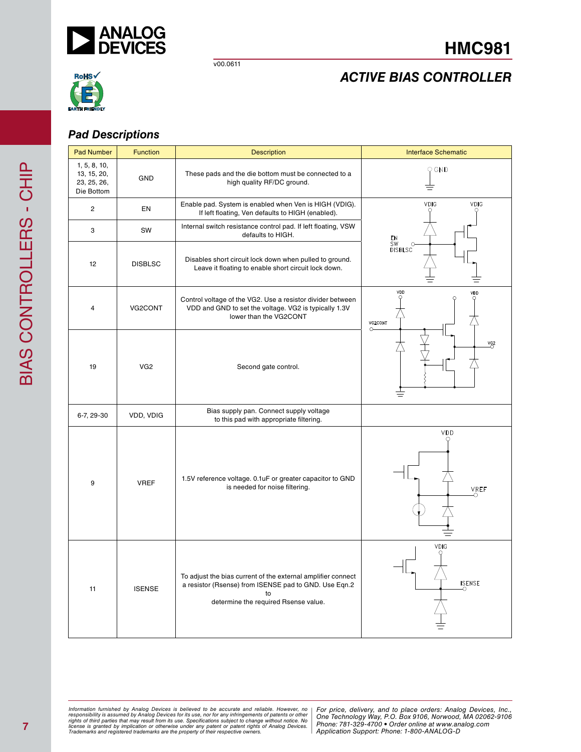



# *ACTIVE BIAS CONTROLLER*

## *Pad Descriptions*

| <b>Pad Number</b>                                        | <b>Function</b> | <b>Description</b>                                                                                                                                                  | <b>Interface Schematic</b>       |
|----------------------------------------------------------|-----------------|---------------------------------------------------------------------------------------------------------------------------------------------------------------------|----------------------------------|
| 1, 5, 8, 10,<br>13, 15, 20,<br>23, 25, 26,<br>Die Bottom | GND             | These pads and the die bottom must be connected to a<br>high quality RF/DC ground.                                                                                  | O GND                            |
| $\overline{2}$                                           | <b>EN</b>       | Enable pad. System is enabled when Ven is HIGH (VDIG).<br>If left floating, Ven defaults to HIGH (enabled).                                                         | <b>VDIG</b><br><b>VDIG</b>       |
| 3                                                        | SW              | Internal switch resistance control pad. If left floating, VSW<br>defaults to HIGH.                                                                                  |                                  |
| 12                                                       | <b>DISBLSC</b>  | Disables short circuit lock down when pulled to ground.<br>Leave it floating to enable short circuit lock down.                                                     | EN<br>SW<br>DISBLSC              |
| 4                                                        | VG2CONT         | Control voltage of the VG2. Use a resistor divider between<br>VDD and GND to set the voltage. VG2 is typically 1.3V<br>lower than the VG2CONT                       | VDD<br>VDD<br>VG2CONT<br>$\circ$ |
| 19                                                       | VG <sub>2</sub> | Second gate control.                                                                                                                                                | $1$                              |
| 6-7, 29-30                                               | VDD, VDIG       | Bias supply pan. Connect supply voltage<br>to this pad with appropriate filtering.                                                                                  |                                  |
| 9                                                        | <b>VREF</b>     | 1.5V reference voltage. 0.1uF or greater capacitor to GND<br>is needed for noise filtering.                                                                         | VDD<br><b>VREF</b>               |
| 11                                                       | <b>ISENSE</b>   | To adjust the bias current of the external amplifier connect<br>a resistor (Rsense) from ISENSE pad to GND. Use Eqn.2<br>to<br>determine the required Rsense value. | VDIG<br><b>ISENSE</b>            |

*Formation iurnished by Analog Devices is believed to be accurate and reliable. However, no Hor price, delivery, and to place orders: Analog Devices, In<br>roonsibility is assumed by Analog Devices for its use, nor for any pressult from its use. Specifications subject to change without notice. No*<br>ation or otherwise under any patent or patent rights of Analog Devices Phone: 781-329-4700 • Order online at ww *e* the property of their respective owners. **Application Support: Phone: 1-8** Information furnished by Analog Devices is believed to be accurate and reliable. However, no<br>responsibility is assumed by Analog Devices for its use, nor for any infringements of patents or other<br>rights of third parties th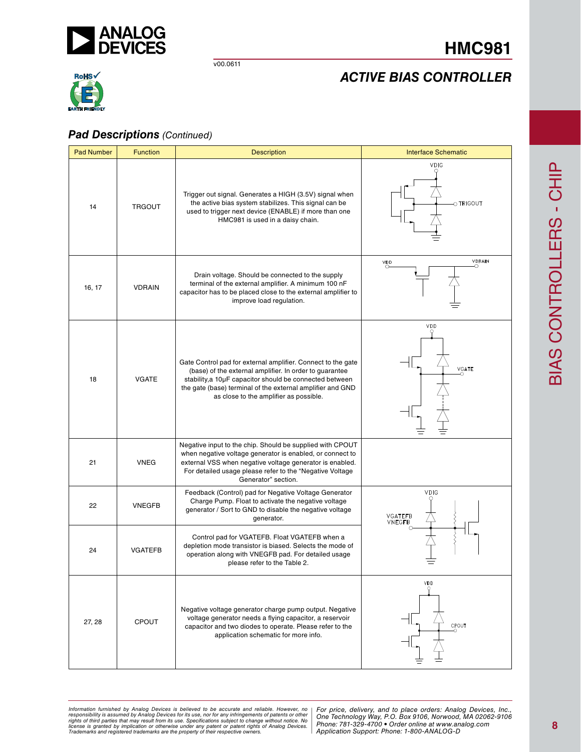

# **HMC981**

# *ACTIVE BIAS CONTROLLER*



## *Pad Descriptions (Continued)*

| <b>Pad Number</b> | <b>Function</b> | <b>Description</b>                                                                                                                                                                                                                                                                         | <b>Interface Schematic</b>            |
|-------------------|-----------------|--------------------------------------------------------------------------------------------------------------------------------------------------------------------------------------------------------------------------------------------------------------------------------------------|---------------------------------------|
| 14                | <b>TRGOUT</b>   | Trigger out signal. Generates a HIGH (3.5V) signal when<br>the active bias system stabilizes. This signal can be<br>used to trigger next device (ENABLE) if more than one<br>HMC981 is used in a daisy chain.                                                                              | <b>VDIG</b><br>$_{\bigcirc}$ Trigout  |
| 16, 17            | <b>VDRAIN</b>   | Drain voltage. Should be connected to the supply<br>terminal of the external amplifier. A minimum 100 nF<br>capacitor has to be placed close to the external amplifier to<br>improve load regulation.                                                                                      | <b>VDRAIN</b><br>v <sub>DD</sub><br>∩ |
| 18                | <b>VGATE</b>    | Gate Control pad for external amplifier. Connect to the gate<br>(base) of the external amplifier. In order to guarantee<br>stability, a 10µF capacitor should be connected between<br>the gate (base) terminal of the external amplifier and GND<br>as close to the amplifier as possible. | VDD<br>VGATE                          |
| 21                | <b>VNEG</b>     | Negative input to the chip. Should be supplied with CPOUT<br>when negative voltage generator is enabled, or connect to<br>external VSS when negative voltage generator is enabled.<br>For detailed usage please refer to the "Negative Voltage<br>Generator" section.                      |                                       |
| 22                | <b>VNEGFB</b>   | Feedback (Control) pad for Negative Voltage Generator<br>Charge Pump. Float to activate the negative voltage<br>generator / Sort to GND to disable the negative voltage<br>generator.                                                                                                      | <b>VDIG</b><br>VGATEFB<br>VNEGFB      |
| 24                | <b>VGATEFB</b>  | Control pad for VGATEFB. Float VGATEFB when a<br>depletion mode transistor is biased. Selects the mode of<br>operation along with VNEGFB pad. For detailed usage<br>please refer to the Table 2.                                                                                           |                                       |
| 27, 28            | <b>CPOUT</b>    | Negative voltage generator charge pump output. Negative<br>voltage generator needs a flying capacitor, a reservoir<br>capacitor and two diodes to operate. Please refer to the<br>application schematic for more info.                                                                     | V <sub>D</sub> D<br>CPOUT             |

*Formation iurnished by Analog Devices is believed to be accurate and reliable. However, no Hor price, delivery, and to place orders: Analog Devices, In<br>roonsibility is assumed by Analog Devices for its use, nor for any pressult from its use. Specifications subject to change without notice. No*<br>ation or otherwise under any patent or patent rights of Analog Devices Phone: 781-329-4700 • Order online at ww *e* the property of their respective owners. **Application Support: Phone: 1-8** Information furnished by Analog Devices is believed to be accurate and reliable. However, no<br>responsibility is assumed by Analog Devices for its use, nor for any infringements of patents or other<br>rights of third parties th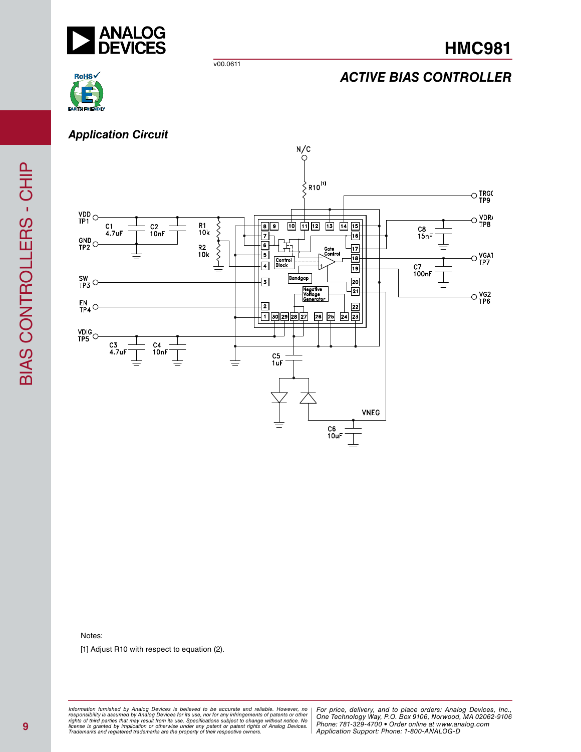

# *ACTIVE BIAS CONTROLLER*



*Application Circuit*



Notes:

[1] Adjust R10 with respect to equation (2).

*Formation iurnished by Analog Devices is believed to be accurate and reliable. However, no Hor price, delivery, and to place orders: Analog Devices, In<br>roonsibility is assumed by Analog Devices for its use, nor for any pressult from its use. Specifications subject to change without notice. No*<br>ation or otherwise under any patent or patent rights of Analog Devices Phone: 781-329-4700 • Order online at ww *e* the property of their respective owners. **Application Support: Phone: 1-8** Information furnished by Analog Devices is believed to be accurate and reliable. However, no<br>responsibility is assumed by Analog Devices for its use, nor for any infringements of patents or other<br>rights of third parties th

BIAS CONTROLLERS - CHIP

BIAS CONTROLLERS - CHIP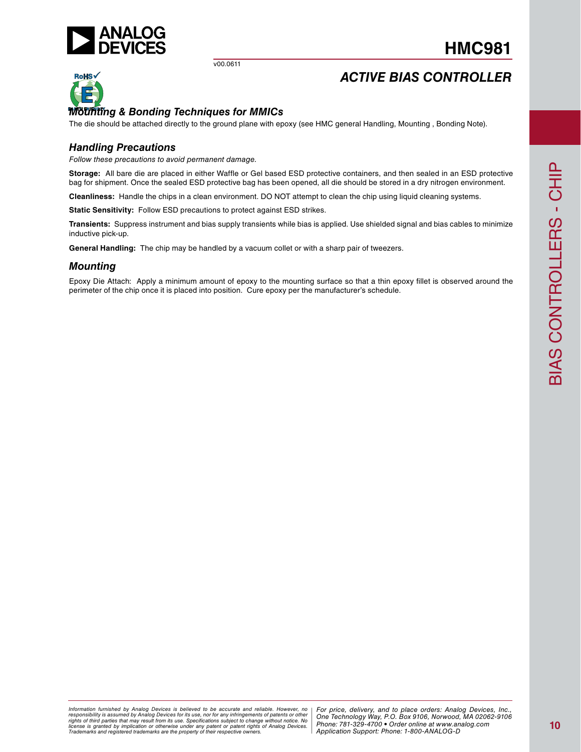

# **HMC981**

# *ACTIVE BIAS CONTROLLER*



## *Mounting & Bonding Techniques for MMICs*

The die should be attached directly to the ground plane with epoxy (see HMC general Handling, Mounting , Bonding Note).

## *Handling Precautions*

*Follow these precautions to avoid permanent damage.*

**Storage:** All bare die are placed in either Waffle or Gel based ESD protective containers, and then sealed in an ESD protective bag for shipment. Once the sealed ESD protective bag has been opened, all die should be stored in a dry nitrogen environment.

**Cleanliness:** Handle the chips in a clean environment. DO NOT attempt to clean the chip using liquid cleaning systems.

**Static Sensitivity:** Follow ESD precautions to protect against ESD strikes.

**Transients:** Suppress instrument and bias supply transients while bias is applied. Use shielded signal and bias cables to minimize inductive pick-up.

**General Handling:** The chip may be handled by a vacuum collet or with a sharp pair of tweezers.

### *Mounting*

Epoxy Die Attach: Apply a minimum amount of epoxy to the mounting surface so that a thin epoxy fillet is observed around the perimeter of the chip once it is placed into position. Cure epoxy per the manufacturer's schedule.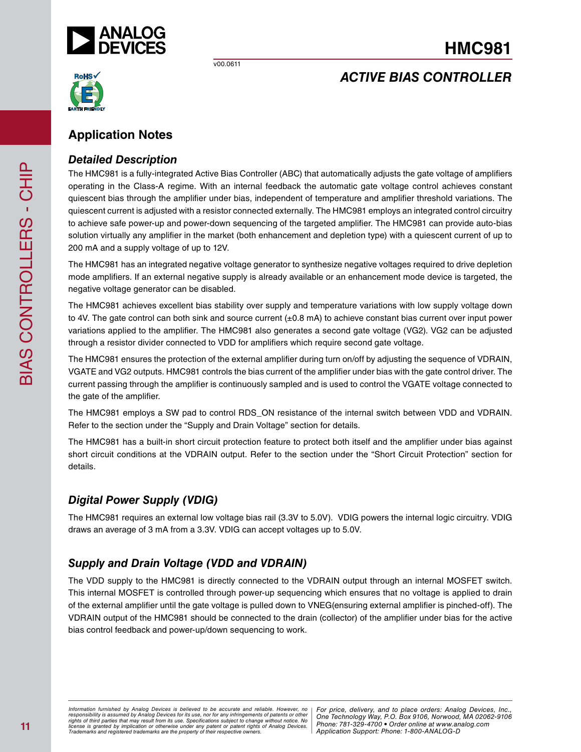

# **HMC981**

*ACTIVE BIAS CONTROLLER*



# **Application Notes**

## *Detailed Description*

The HMC981 is a fully-integrated Active Bias Controller (ABC) that automatically adjusts the gate voltage of amplifiers operating in the Class-A regime. With an internal feedback the automatic gate voltage control achieves constant quiescent bias through the amplifier under bias, independent of temperature and amplifier threshold variations. The quiescent current is adjusted with a resistor connected externally. The HMC981 employs an integrated control circuitry to achieve safe power-up and power-down sequencing of the targeted amplifier. The HMC981 can provide auto-bias solution virtually any amplifier in the market (both enhancement and depletion type) with a quiescent current of up to 200 mA and a supply voltage of up to 12V.

The HMC981 has an integrated negative voltage generator to synthesize negative voltages required to drive depletion mode amplifiers. If an external negative supply is already available or an enhancement mode device is targeted, the negative voltage generator can be disabled.

The HMC981 achieves excellent bias stability over supply and temperature variations with low supply voltage down to 4V. The gate control can both sink and source current (±0.8 mA) to achieve constant bias current over input power variations applied to the amplifier. The HMC981 also generates a second gate voltage (VG2). VG2 can be adjusted through a resistor divider connected to VDD for amplifiers which require second gate voltage.

The HMC981 ensures the protection of the external amplifier during turn on/off by adjusting the sequence of VDRAIN, VGATE and VG2 outputs. HMC981 controls the bias current of the amplifier under bias with the gate control driver. The current passing through the amplifier is continuously sampled and is used to control the VGATE voltage connected to the gate of the amplifier.

The HMC981 employs a SW pad to control RDS\_ON resistance of the internal switch between VDD and VDRAIN. Refer to the section under the "Supply and Drain Voltage" section for details.

The HMC981 has a built-in short circuit protection feature to protect both itself and the amplifier under bias against short circuit conditions at the VDRAIN output. Refer to the section under the "Short Circuit Protection" section for details.

# *Digital Power Supply (VDIG)*

The HMC981 requires an external low voltage bias rail (3.3V to 5.0V). VDIG powers the internal logic circuitry. VDIG draws an average of 3 mA from a 3.3V. VDIG can accept voltages up to 5.0V.

# *Supply and Drain Voltage (VDD and VDRAIN)*

The VDD supply to the HMC981 is directly connected to the VDRAIN output through an internal MOSFET switch. This internal MOSFET is controlled through power-up sequencing which ensures that no voltage is applied to drain of the external amplifier until the gate voltage is pulled down to VNEG(ensuring external amplifier is pinched-off). The VDRAIN output of the HMC981 should be connected to the drain (collector) of the amplifier under bias for the active bias control feedback and power-up/down sequencing to work.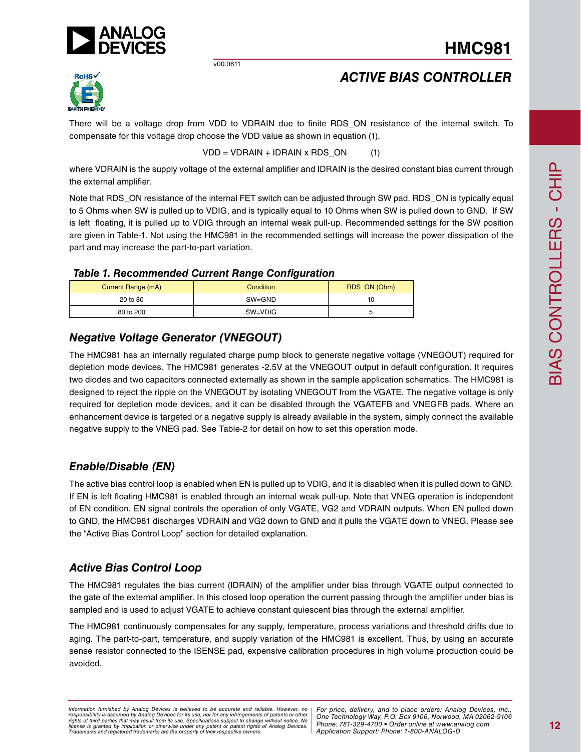

# *ACTIVE BIAS CONTROLLER*



There will be a voltage drop from VDD to VDRAIN due to finite RDS\_ON resistance of the internal switch. To compensate for this voltage drop choose the VDD value as shown in equation (1).

 $VDD = VDRAIN + IDRAIN \times RDS_ON$  (1)

where VDRAIN is the supply voltage of the external amplifier and IDRAIN is the desired constant bias current through the external amplifier.

Note that RDS\_ON resistance of the internal FET switch can be adjusted through SW pad. RDS\_ON is typically equal to 5 Ohms when SW is pulled up to VDIG, and is typically equal to 10 Ohms when SW is pulled down to GND. If SW is left floating, it is pulled up to VDIG through an internal weak pull-up. Recommended settings for the SW position are given in Table-1. Not using the HMC981 in the recommended settings will increase the power dissipation of the part and may increase the part-to-part variation.

## *Table 1. Recommended Current Range Configuration*

|                    | <br>--           |              |
|--------------------|------------------|--------------|
| Current Range (mA) | <b>Condition</b> | RDS_ON (Ohm) |
| 20 to 80           | $SW = GND$       | 10           |
| 80 to 200          | SW=VDIG          |              |

# *Negative Voltage Generator (VNEGOUT)*

The HMC981 has an internally regulated charge pump block to generate negative voltage (VNEGOUT) required for depletion mode devices. The HMC981 generates -2.5V at the VNEGOUT output in default configuration. It requires two diodes and two capacitors connected externally as shown in the sample application schematics. The HMC981 is designed to reject the ripple on the VNEGOUT by isolating VNEGOUT from the VGATE. The negative voltage is only required for depletion mode devices, and it can be disabled through the VGATEFB and VNEGFB pads. Where an enhancement device is targeted or a negative supply is already available in the system, simply connect the available negative supply to the VNEG pad. See Table-2 for detail on how to set this operation mode.

# *Enable/Disable (EN)*

The active bias control loop is enabled when EN is pulled up to VDIG, and it is disabled when it is pulled down to GND. If EN is left floating HMC981 is enabled through an internal weak pull-up. Note that VNEG operation is independent of EN condition. EN signal controls the operation of only VGATE, VG2 and VDRAIN outputs. When EN pulled down to GND, the HMC981 discharges VDRAIN and VG2 down to GND and it pulls the VGATE down to VNEG. Please see the "Active Bias Control Loop" section for detailed explanation.

# *Active Bias Control Loop*

The HMC981 regulates the bias current (IDRAIN) of the amplifier under bias through VGATE output connected to the gate of the external amplifier. In this closed loop operation the current passing through the amplifier under bias is sampled and is used to adjust VGATE to achieve constant quiescent bias through the external amplifier.

The HMC981 continuously compensates for any supply, temperature, process variations and threshold drifts due to aging. The part-to-part, temperature, and supply variation of the HMC981 is excellent. Thus, by using an accurate sense resistor connected to the ISENSE pad, expensive calibration procedures in high volume production could be avoided.

*Formation iurnished by Analog Devices is believed to be accurate and reliable. However, no Hor price, delivery, and to place orders: Analog Devices, In<br>roonsibility is assumed by Analog Devices for its use, nor for any pressult from its use. Specifications subject to change without notice. No*<br>ation or otherwise under any patent or patent rights of Analog Devices Phone: 781-329-4700 • Order online at ww *e* the property of their respective owners. **Application Support: Phone: 1-8** *Information furnished by Analog Devices is believed to be accurate and reliable. However, no*  responsibility is assumed by Analog Devices for its use, nor for any infringements of patents or other<br>rights of third parties that may result from its use. Specifications subject to change without notice. No<br>license is gr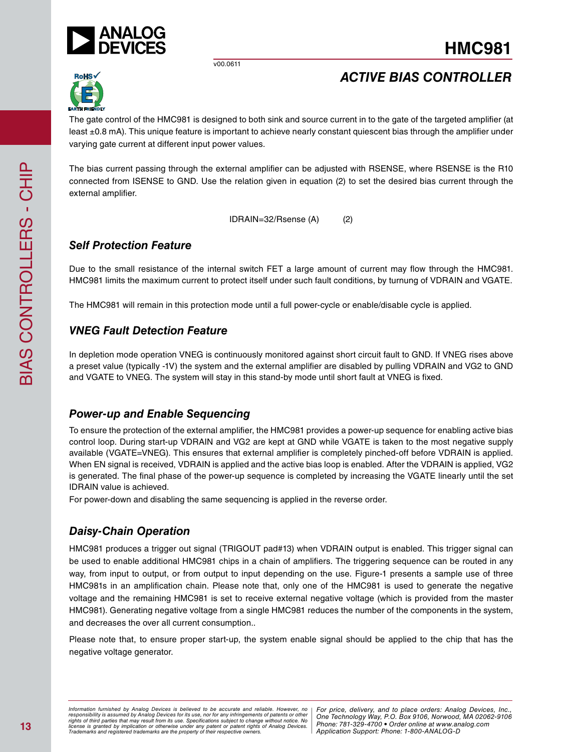



*ACTIVE BIAS CONTROLLER*

The gate control of the HMC981 is designed to both sink and source current in to the gate of the targeted amplifier (at least ±0.8 mA). This unique feature is important to achieve nearly constant quiescent bias through the amplifier under varying gate current at different input power values.

The bias current passing through the external amplifier can be adjusted with RSENSE, where RSENSE is the R10 connected from ISENSE to GND. Use the relation given in equation (2) to set the desired bias current through the external amplifier.

IDRAIN=32/Rsense (A) (2)

## *Self Protection Feature*

Due to the small resistance of the internal switch FET a large amount of current may flow through the HMC981. HMC981 limits the maximum current to protect itself under such fault conditions, by turnung of VDRAIN and VGATE.

The HMC981 will remain in this protection mode until a full power-cycle or enable/disable cycle is applied.

## *VNEG Fault Detection Feature*

In depletion mode operation VNEG is continuously monitored against short circuit fault to GND. If VNEG rises above a preset value (typically -1V) the system and the external amplifier are disabled by pulling VDRAIN and VG2 to GND and VGATE to VNEG. The system will stay in this stand-by mode until short fault at VNEG is fixed.

## *Power-up and Enable Sequencing*

To ensure the protection of the external amplifier, the HMC981 provides a power-up sequence for enabling active bias control loop. During start-up VDRAIN and VG2 are kept at GND while VGATE is taken to the most negative supply available (VGATE=VNEG). This ensures that external amplifier is completely pinched-off before VDRAIN is applied. When EN signal is received, VDRAIN is applied and the active bias loop is enabled. After the VDRAIN is applied, VG2 is generated. The final phase of the power-up sequence is completed by increasing the VGATE linearly until the set IDRAIN value is achieved.

For power-down and disabling the same sequencing is applied in the reverse order.

# *Daisy-Chain Operation*

HMC981 produces a trigger out signal (TRIGOUT pad#13) when VDRAIN output is enabled. This trigger signal can be used to enable additional HMC981 chips in a chain of amplifiers. The triggering sequence can be routed in any way, from input to output, or from output to input depending on the use. Figure-1 presents a sample use of three HMC981s in an amplification chain. Please note that, only one of the HMC981 is used to generate the negative voltage and the remaining HMC981 is set to receive external negative voltage (which is provided from the master HMC981). Generating negative voltage from a single HMC981 reduces the number of the components in the system, and decreases the over all current consumption..

Please note that, to ensure proper start-up, the system enable signal should be applied to the chip that has the negative voltage generator.

*Formation iurnished by Analog Devices is believed to be accurate and reliable. However, no Hor price, delivery, and to place orders: Analog Devices, In<br>roonsibility is assumed by Analog Devices for its use, nor for any pressult from its use. Specifications subject to change without notice. No*<br>ation or otherwise under any patent or patent rights of Analog Devices Phone: 781-329-4700 • Order online at ww *e* the property of their respective owners. **Application Support: Phone: 1-8** *Information furnished by Analog Devices is believed to be accurate and reliable. However, no*  responsibility is assumed by Analog Devices for its use, nor for any infringements of patents or other<br>rights of third parties that may result from its use. Specifications subject to change without notice. No<br>license is gr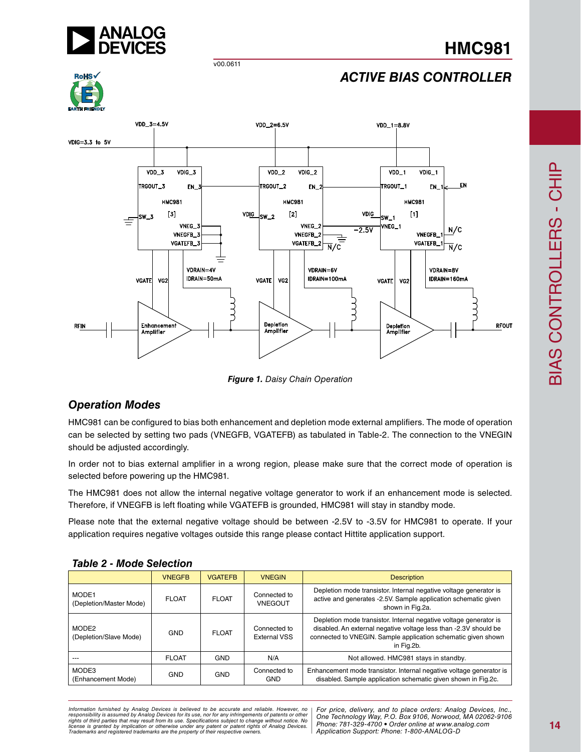



# *ACTIVE BIAS CONTROLLER*



*Figure 1. Daisy Chain Operation*

# *Operation Modes*

HMC981 can be configured to bias both enhancement and depletion mode external amplifiers. The mode of operation can be selected by setting two pads (VNEGFB, VGATEFB) as tabulated in Table-2. The connection to the VNEGIN should be adjusted accordingly.

In order not to bias external amplifier in a wrong region, please make sure that the correct mode of operation is selected before powering up the HMC981.

The HMC981 does not allow the internal negative voltage generator to work if an enhancement mode is selected. Therefore, if VNEGFB is left floating while VGATEFB is grounded, HMC981 will stay in standby mode.

Please note that the external negative voltage should be between -2.5V to -3.5V for HMC981 to operate. If your application requires negative voltages outside this range please contact Hittite application support.

| TOMIC L - MOUG OGIGULION         |               |                |                                     |                                                                                                                                                                                                                      |  |  |  |
|----------------------------------|---------------|----------------|-------------------------------------|----------------------------------------------------------------------------------------------------------------------------------------------------------------------------------------------------------------------|--|--|--|
|                                  | <b>VNEGFB</b> | <b>VGATEFB</b> | <b>VNEGIN</b>                       | <b>Description</b>                                                                                                                                                                                                   |  |  |  |
| MODE1<br>(Depletion/Master Mode) | <b>FLOAT</b>  | <b>FLOAT</b>   | Connected to<br><b>VNEGOUT</b>      | Depletion mode transistor. Internal negative voltage generator is<br>active and generates -2.5V. Sample application schematic given<br>shown in Fig.2a.                                                              |  |  |  |
| MODE2<br>(Depletion/Slave Mode)  | GND           | <b>FLOAT</b>   | Connected to<br><b>External VSS</b> | Depletion mode transistor. Internal negative voltage generator is<br>disabled. An external negative voltage less than -2.3V should be<br>connected to VNEGIN. Sample application schematic given shown<br>in Fig.2b. |  |  |  |
|                                  | <b>FLOAT</b>  | <b>GND</b>     | N/A                                 | Not allowed. HMC981 stays in standby.                                                                                                                                                                                |  |  |  |
| MODE3<br>(Enhancement Mode)      | <b>GND</b>    | <b>GND</b>     | Connected to<br><b>GND</b>          | Enhancement mode transistor. Internal negative voltage generator is<br>disabled. Sample application schematic given shown in Fig.2c.                                                                                 |  |  |  |

## *Table 2 - Mode Selection*

*Formation iurnished by Analog Devices is believed to be accurate and reliable. However, no Hor price, delivery, and to place orders: Analog Devices, In<br>roonsibility is assumed by Analog Devices for its use, nor for any pressult from its use. Specifications subject to change without notice. No*<br>ation or otherwise under any patent or patent rights of Analog Devices Phone: 781-329-4700 • Order online at ww *e* the property of their respective owners. **Application Support: Phone: 1-8** *Information furnished by Analog Devices is believed to be accurate and reliable. However, no*  responsibility is assumed by Analog Devices for its use, nor for any infringements of patents or other<br>rights of third parties that may result from its use. Specifications subject to change without notice. No<br>license is gr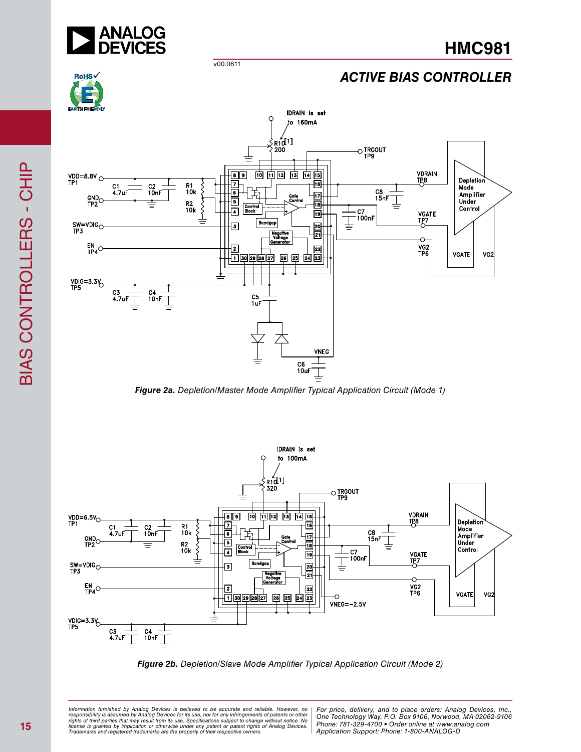

# *ACTIVE BIAS CONTROLLER*



*Figure 2a. Depletion/Master Mode Amplifier Typical Application Circuit (Mode 1)*





*Formation iurnished by Analog Devices is believed to be accurate and reliable. However, no Hor price, delivery, and to place orders: Analog Devices, In<br>roonsibility is assumed by Analog Devices for its use, nor for any pressult from its use. Specifications subject to change without notice. No*<br>ation or otherwise under any patent or patent rights of Analog Devices Phone: 781-329-4700 • Order online at ww *e* the property of their respective owners. **Application Support: Phone: 1-8** Information furnished by Analog Devices is believed to be accurate and reliable. However, no<br>responsibility is assumed by Analog Devices for its use, nor for any infringements of patents or other<br>rights of third parties th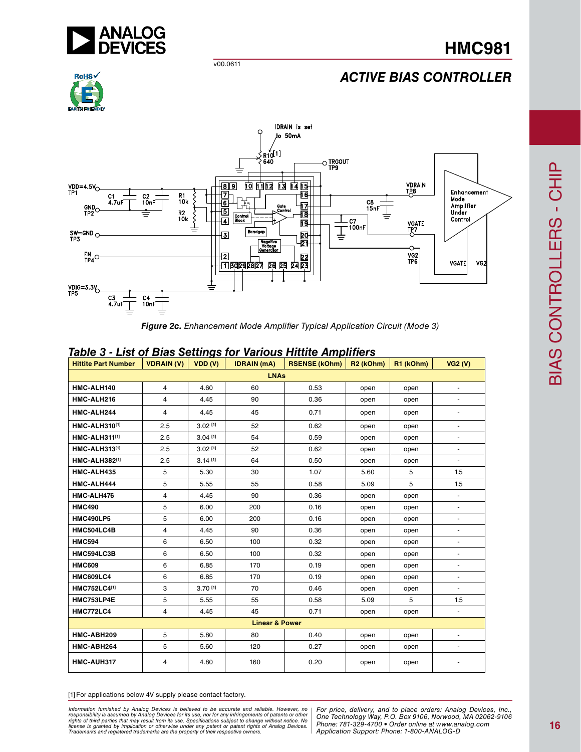

# *ACTIVE BIAS CONTROLLER*





*Figure 2c. Enhancement Mode Amplifier Typical Application Circuit (Mode 3)*

| <b>Hittite Part Number</b> | <b>VDRAIN (V)</b> | VDD (V)               | <b>IDRAIN</b> (mA) | <b>RSENSE (kOhm)</b> | R <sub>2</sub> (kOhm) | R1 (kOhm) | VG2(V)                   |  |
|----------------------------|-------------------|-----------------------|--------------------|----------------------|-----------------------|-----------|--------------------------|--|
| <b>LNAs</b>                |                   |                       |                    |                      |                       |           |                          |  |
| HMC-ALH140                 | $\overline{4}$    | 4.60                  | 60                 | 0.53                 | open                  | open      | $\overline{\phantom{a}}$ |  |
| HMC-ALH216                 | 4                 | 4.45                  | 90                 | 0.36                 | open                  | open      |                          |  |
| HMC-ALH244                 | 4                 | 4.45                  | 45                 | 0.71                 | open                  | open      |                          |  |
| <b>HMC-ALH310[1]</b>       | 2.5               | $3.02$ [1]            | 52                 | 0.62                 | open                  | open      | $\overline{\phantom{a}}$ |  |
| HMC-ALH311[1]              | 2.5               | $3.04$ <sup>[1]</sup> | 54                 | 0.59                 | open                  | open      | $\overline{\phantom{a}}$ |  |
| <b>HMC-ALH313[1]</b>       | 2.5               | $3.02$ [1]            | 52                 | 0.62                 | open                  | open      |                          |  |
| <b>HMC-ALH382[1]</b>       | 2.5               | $3.14^{[1]}$          | 64                 | 0.50                 | open                  | open      |                          |  |
| HMC-ALH435                 | 5                 | 5.30                  | 30                 | 1.07                 | 5.60                  | 5         | 1.5                      |  |
| HMC-ALH444                 | 5                 | 5.55                  | 55                 | 0.58                 | 5.09                  | 5         | 1.5                      |  |
| HMC-ALH476                 | 4                 | 4.45                  | 90                 | 0.36                 | open                  | open      |                          |  |
| <b>HMC490</b>              | 5                 | 6.00                  | 200                | 0.16                 | open                  | open      | $\overline{\phantom{a}}$ |  |
| <b>HMC490LP5</b>           | 5                 | 6.00                  | 200                | 0.16                 | open                  | open      | $\blacksquare$           |  |
| HMC504LC4B                 | 4                 | 4.45                  | 90                 | 0.36                 | open                  | open      | $\overline{\phantom{a}}$ |  |
| <b>HMC594</b>              | 6                 | 6.50                  | 100                | 0.32                 | open                  | open      |                          |  |
| HMC594LC3B                 | 6                 | 6.50                  | 100                | 0.32                 | open                  | open      |                          |  |
| <b>HMC609</b>              | 6                 | 6.85                  | 170                | 0.19                 | open                  | open      | $\overline{\phantom{a}}$ |  |
| <b>HMC609LC4</b>           | 6                 | 6.85                  | 170                | 0.19                 | open                  | open      |                          |  |
| <b>HMC752LC4[1]</b>        | 3                 | 3.70[1]               | 70                 | 0.46                 | open                  | open      |                          |  |
| HMC753LP4E                 | 5                 | 5.55                  | 55                 | 0.58                 | 5.09                  | 5         | 1.5                      |  |
| <b>HMC772LC4</b>           | 4                 | 4.45                  | 45                 | 0.71                 | open                  | open      | $\blacksquare$           |  |
| <b>Linear &amp; Power</b>  |                   |                       |                    |                      |                       |           |                          |  |
| HMC-ABH209                 | 5                 | 5.80                  | 80                 | 0.40                 | open                  | open      |                          |  |
| HMC-ABH264                 | 5                 | 5.60                  | 120                | 0.27                 | open                  | open      | $\blacksquare$           |  |
| HMC-AUH317                 | 4                 | 4.80                  | 160                | 0.20                 | open                  | open      |                          |  |

## *Table 3 - List of Bias Settings for Various Hittite Amplifiers*

[1] For applications below 4V supply please contact factory.

ormation furnished by Analog Devices is believed to be accurate and reliable. However, no | For price, delivery, and to place orders: Analog Devices, Inc.,<br>hponsibility is assumed by Analog Devices for its use, nor for any *pressult from its use. Specifications subject to change without notice. No*<br>ation or otherwise under any patent or patent rights of Analog Devices Phone: 781-329-4700 • Order online at ww *e* the property of their respective owners. **Application Support: Phone: 1-8** *Information furnished by Analog Devices is believed to be accurate and reliable. However, no*  responsibility is assumed by Analog Devices for its use, nor for any infringements of patents or other<br>rights of third parties that may result from its use. Specifications subject to change without notice. No<br>license is gr

*Application Support: Phone: 1-800-ANALOG-D*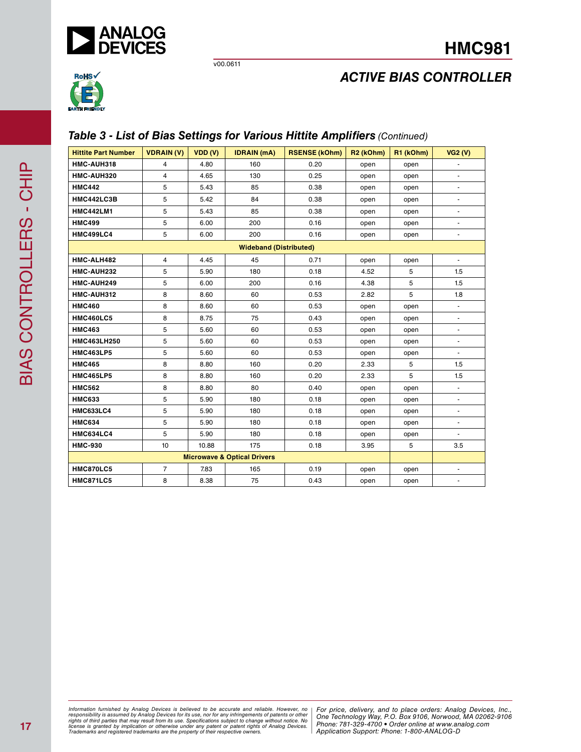



# *ACTIVE BIAS CONTROLLER*

# *Table 3 - List of Bias Settings for Various Hittite Amplifiers (Continued)*

| <b>Hittite Part Number</b> | <b>VDRAIN(V)</b> | VDD (V) | <b>IDRAIN</b> (mA)                     | <b>RSENSE (kOhm)</b> | R <sub>2</sub> (kOhm) | R1 (kOhm) | VG2(V)                   |
|----------------------------|------------------|---------|----------------------------------------|----------------------|-----------------------|-----------|--------------------------|
| HMC-AUH318                 | 4                | 4.80    | 160                                    | 0.20                 | open                  | open      |                          |
| HMC-AUH320                 | 4                | 4.65    | 130                                    | 0.25                 | open                  | open      | $\blacksquare$           |
| <b>HMC442</b>              | 5                | 5.43    | 85                                     | 0.38                 | open                  | open      | $\blacksquare$           |
| HMC442LC3B                 | 5                | 5.42    | 84                                     | 0.38                 | open                  | open      |                          |
| <b>HMC442LM1</b>           | 5                | 5.43    | 85                                     | 0.38                 | open                  | open      | $\blacksquare$           |
| <b>HMC499</b>              | 5                | 6.00    | 200                                    | 0.16                 | open                  | open      |                          |
| HMC499LC4                  | 5                | 6.00    | 200                                    | 0.16                 | open                  | open      |                          |
|                            |                  |         | <b>Wideband (Distributed)</b>          |                      |                       |           |                          |
| HMC-ALH482                 | 4                | 4.45    | 45                                     | 0.71                 | open                  | open      | $\blacksquare$           |
| HMC-AUH232                 | 5                | 5.90    | 180                                    | 0.18                 | 4.52                  | 5         | 1.5                      |
| HMC-AUH249                 | 5                | 6.00    | 200                                    | 0.16                 | 4.38                  | 5         | 1.5                      |
| HMC-AUH312                 | 8                | 8.60    | 60                                     | 0.53                 | 2.82                  | 5         | 1.8                      |
| <b>HMC460</b>              | 8                | 8.60    | 60                                     | 0.53                 | open                  | open      | $\overline{\phantom{a}}$ |
| <b>HMC460LC5</b>           | 8                | 8.75    | 75                                     | 0.43                 | open                  | open      |                          |
| <b>HMC463</b>              | 5                | 5.60    | 60                                     | 0.53                 | open                  | open      | $\blacksquare$           |
| <b>HMC463LH250</b>         | 5                | 5.60    | 60                                     | 0.53                 | open                  | open      |                          |
| <b>HMC463LP5</b>           | 5                | 5.60    | 60                                     | 0.53                 | open                  | open      | $\blacksquare$           |
| <b>HMC465</b>              | 8                | 8.80    | 160                                    | 0.20                 | 2.33                  | 5         | 1.5                      |
| <b>HMC465LP5</b>           | 8                | 8.80    | 160                                    | 0.20                 | 2.33                  | 5         | 1.5                      |
| <b>HMC562</b>              | 8                | 8.80    | 80                                     | 0.40                 | open                  | open      |                          |
| <b>HMC633</b>              | 5                | 5.90    | 180                                    | 0.18                 | open                  | open      | $\blacksquare$           |
| <b>HMC633LC4</b>           | 5                | 5.90    | 180                                    | 0.18                 | open                  | open      |                          |
| <b>HMC634</b>              | 5                | 5.90    | 180                                    | 0.18                 | open                  | open      | $\overline{\phantom{a}}$ |
| <b>HMC634LC4</b>           | 5                | 5.90    | 180                                    | 0.18                 | open                  | open      |                          |
| <b>HMC-930</b>             | 10               | 10.88   | 175                                    | 0.18                 | 3.95                  | 5         | 3.5                      |
|                            |                  |         | <b>Microwave &amp; Optical Drivers</b> |                      |                       |           |                          |
| <b>HMC870LC5</b>           | $\overline{7}$   | 7.83    | 165                                    | 0.19                 | open                  | open      | $\blacksquare$           |
| <b>HMC871LC5</b>           | 8                | 8.38    | 75                                     | 0.43                 | open                  | open      | $\overline{\phantom{a}}$ |

*Formation iurnished by Analog Devices is believed to be accurate and reliable. However, no Hor price, delivery, and to place orders: Analog Devices, In<br>roonsibility is assumed by Analog Devices for its use, nor for any pressult from its use. Specifications subject to change without notice. No*<br>ation or otherwise under any patent or patent rights of Analog Devices Phone: 781-329-4700 • Order online at ww *e* the property of their respective owners. **Application Support: Phone: 1-8** Information furnished by Analog Devices is believed to be accurate and reliable. However, no<br>responsibility is assumed by Analog Devices for its use, nor for any infringements of patents or other<br>rights of third parties th